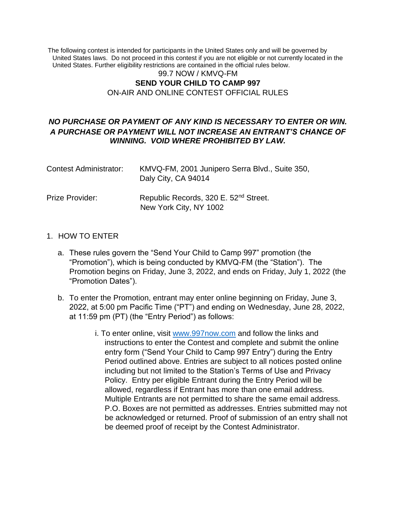The following contest is intended for participants in the United States only and will be governed by United States laws. Do not proceed in this contest if you are not eligible or not currently located in the United States. Further eligibility restrictions are contained in the official rules below.

### 99.7 NOW / KMVQ-FM **SEND YOUR CHILD TO CAMP 997**  ON-AIR AND ONLINE CONTEST OFFICIAL RULES

# *NO PURCHASE OR PAYMENT OF ANY KIND IS NECESSARY TO ENTER OR WIN. A PURCHASE OR PAYMENT WILL NOT INCREASE AN ENTRANT'S CHANCE OF WINNING. VOID WHERE PROHIBITED BY LAW.*

| Contest Administrator: | KMVQ-FM, 2001 Junipero Serra Blvd., Suite 350,<br>Daly City, CA 94014       |
|------------------------|-----------------------------------------------------------------------------|
| Prize Provider:        | Republic Records, 320 E. 52 <sup>nd</sup> Street.<br>New York City, NY 1002 |

### 1. HOW TO ENTER

- a. These rules govern the "Send Your Child to Camp 997" promotion (the "Promotion"), which is being conducted by KMVQ-FM (the "Station"). The Promotion begins on Friday, June 3, 2022, and ends on Friday, July 1, 2022 (the "Promotion Dates").
- b. To enter the Promotion, entrant may enter online beginning on Friday, June 3, 2022, at 5:00 pm Pacific Time ("PT") and ending on Wednesday, June 28, 2022, at 11:59 pm (PT) (the "Entry Period") as follows:
	- i. To enter online, visit [www.997now.com](https://kfox.com/) and follow the links and instructions to enter the Contest and complete and submit the online entry form ("Send Your Child to Camp 997 Entry") during the Entry Period outlined above. Entries are subject to all notices posted online including but not limited to the Station's Terms of Use and Privacy Policy. Entry per eligible Entrant during the Entry Period will be allowed, regardless if Entrant has more than one email address. Multiple Entrants are not permitted to share the same email address. P.O. Boxes are not permitted as addresses. Entries submitted may not be acknowledged or returned. Proof of submission of an entry shall not be deemed proof of receipt by the Contest Administrator.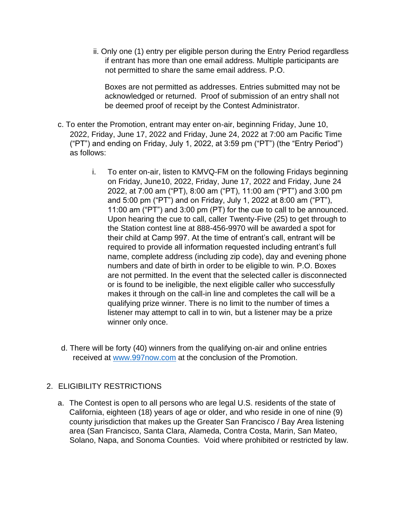ii. Only one (1) entry per eligible person during the Entry Period regardless if entrant has more than one email address. Multiple participants are not permitted to share the same email address. P.O.

Boxes are not permitted as addresses. Entries submitted may not be acknowledged or returned. Proof of submission of an entry shall not be deemed proof of receipt by the Contest Administrator.

- c. To enter the Promotion, entrant may enter on-air, beginning Friday, June 10, 2022, Friday, June 17, 2022 and Friday, June 24, 2022 at 7:00 am Pacific Time ("PT") and ending on Friday, July 1, 2022, at 3:59 pm ("PT") (the "Entry Period") as follows:
	- i. To enter on-air, listen to KMVQ-FM on the following Fridays beginning on Friday, June10, 2022, Friday, June 17, 2022 and Friday, June 24 2022, at 7:00 am ("PT), 8:00 am ("PT), 11:00 am ("PT") and 3:00 pm and 5:00 pm ("PT") and on Friday, July 1, 2022 at 8:00 am ("PT"), 11:00 am ("PT") and 3:00 pm (PT) for the cue to call to be announced. Upon hearing the cue to call, caller Twenty-Five (25) to get through to the Station contest line at 888-456-9970 will be awarded a spot for their child at Camp 997. At the time of entrant's call, entrant will be required to provide all information requested including entrant's full name, complete address (including zip code), day and evening phone numbers and date of birth in order to be eligible to win. P.O. Boxes are not permitted. In the event that the selected caller is disconnected or is found to be ineligible, the next eligible caller who successfully makes it through on the call-in line and completes the call will be a qualifying prize winner. There is no limit to the number of times a listener may attempt to call in to win, but a listener may be a prize winner only once.
- d. There will be forty (40) winners from the qualifying on-air and online entries received at [www.997now.com](https://kblx.com/) [a](https://kblx.com/)t the conclusion of the Promotion.

## 2. ELIGIBILITY RESTRICTIONS

a. The Contest is open to all persons who are legal U.S. residents of the state of California, eighteen (18) years of age or older, and who reside in one of nine (9) county jurisdiction that makes up the Greater San Francisco / Bay Area listening area (San Francisco, Santa Clara, Alameda, Contra Costa, Marin, San Mateo, Solano, Napa, and Sonoma Counties. Void where prohibited or restricted by law.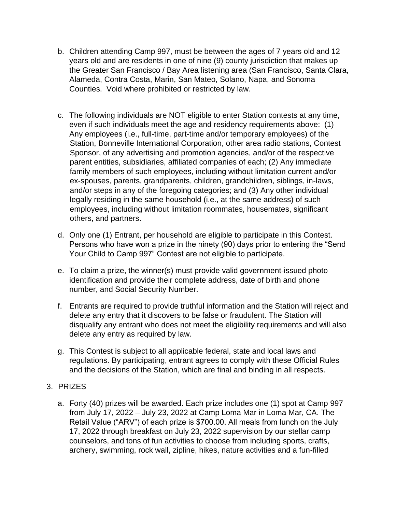- b. Children attending Camp 997, must be between the ages of 7 years old and 12 years old and are residents in one of nine (9) county jurisdiction that makes up the Greater San Francisco / Bay Area listening area (San Francisco, Santa Clara, Alameda, Contra Costa, Marin, San Mateo, Solano, Napa, and Sonoma Counties. Void where prohibited or restricted by law.
- c. The following individuals are NOT eligible to enter Station contests at any time, even if such individuals meet the age and residency requirements above: (1) Any employees (i.e., full-time, part-time and/or temporary employees) of the Station, Bonneville International Corporation, other area radio stations, Contest Sponsor, of any advertising and promotion agencies, and/or of the respective parent entities, subsidiaries, affiliated companies of each; (2) Any immediate family members of such employees, including without limitation current and/or ex-spouses, parents, grandparents, children, grandchildren, siblings, in-laws, and/or steps in any of the foregoing categories; and (3) Any other individual legally residing in the same household (i.e., at the same address) of such employees, including without limitation roommates, housemates, significant others, and partners.
- d. Only one (1) Entrant, per household are eligible to participate in this Contest. Persons who have won a prize in the ninety (90) days prior to entering the "Send Your Child to Camp 997" Contest are not eligible to participate.
- e. To claim a prize, the winner(s) must provide valid government-issued photo identification and provide their complete address, date of birth and phone number, and Social Security Number.
- f. Entrants are required to provide truthful information and the Station will reject and delete any entry that it discovers to be false or fraudulent. The Station will disqualify any entrant who does not meet the eligibility requirements and will also delete any entry as required by law.
- g. This Contest is subject to all applicable federal, state and local laws and regulations. By participating, entrant agrees to comply with these Official Rules and the decisions of the Station, which are final and binding in all respects.
- 3. PRIZES
	- a. Forty (40) prizes will be awarded. Each prize includes one (1) spot at Camp 997 from July 17, 2022 – July 23, 2022 at Camp Loma Mar in Loma Mar, CA. The Retail Value ("ARV") of each prize is \$700.00. All meals from lunch on the July 17, 2022 through breakfast on July 23, 2022 supervision by our stellar camp counselors, and tons of fun activities to choose from including sports, crafts, archery, swimming, rock wall, zipline, hikes, nature activities and a fun-filled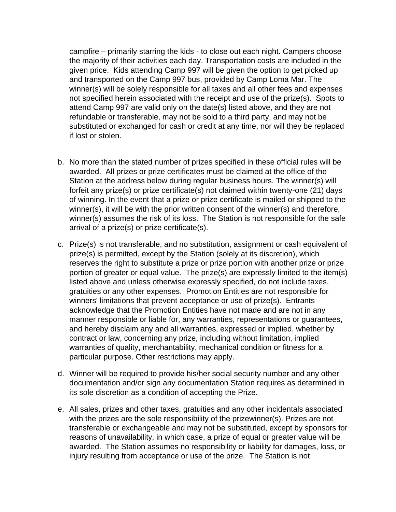campfire – primarily starring the kids - to close out each night. Campers choose the majority of their activities each day. Transportation costs are included in the given price. Kids attending Camp 997 will be given the option to get picked up and transported on the Camp 997 bus, provided by Camp Loma Mar. The winner(s) will be solely responsible for all taxes and all other fees and expenses not specified herein associated with the receipt and use of the prize(s). Spots to attend Camp 997 are valid only on the date(s) listed above, and they are not refundable or transferable, may not be sold to a third party, and may not be substituted or exchanged for cash or credit at any time, nor will they be replaced if lost or stolen.

- b. No more than the stated number of prizes specified in these official rules will be awarded. All prizes or prize certificates must be claimed at the office of the Station at the address below during regular business hours. The winner(s) will forfeit any prize(s) or prize certificate(s) not claimed within twenty-one (21) days of winning. In the event that a prize or prize certificate is mailed or shipped to the winner(s), it will be with the prior written consent of the winner(s) and therefore, winner(s) assumes the risk of its loss. The Station is not responsible for the safe arrival of a prize(s) or prize certificate(s).
- c. Prize(s) is not transferable, and no substitution, assignment or cash equivalent of prize(s) is permitted, except by the Station (solely at its discretion), which reserves the right to substitute a prize or prize portion with another prize or prize portion of greater or equal value. The prize(s) are expressly limited to the item(s) listed above and unless otherwise expressly specified, do not include taxes, gratuities or any other expenses. Promotion Entities are not responsible for winners' limitations that prevent acceptance or use of prize(s). Entrants acknowledge that the Promotion Entities have not made and are not in any manner responsible or liable for, any warranties, representations or guarantees, and hereby disclaim any and all warranties, expressed or implied, whether by contract or law, concerning any prize, including without limitation, implied warranties of quality, merchantability, mechanical condition or fitness for a particular purpose. Other restrictions may apply.
- d. Winner will be required to provide his/her social security number and any other documentation and/or sign any documentation Station requires as determined in its sole discretion as a condition of accepting the Prize.
- e. All sales, prizes and other taxes, gratuities and any other incidentals associated with the prizes are the sole responsibility of the prizewinner(s). Prizes are not transferable or exchangeable and may not be substituted, except by sponsors for reasons of unavailability, in which case, a prize of equal or greater value will be awarded. The Station assumes no responsibility or liability for damages, loss, or injury resulting from acceptance or use of the prize. The Station is not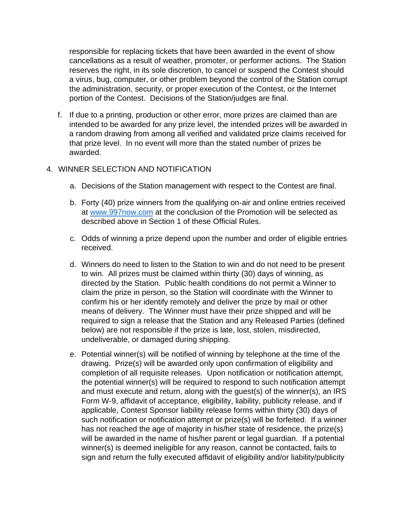responsible for replacing tickets that have been awarded in the event of show cancellations as a result of weather, promoter, or performer actions. The Station reserves the right, in its sole discretion, to cancel or suspend the Contest should a virus, bug, computer, or other problem beyond the control of the Station corrupt the administration, security, or proper execution of the Contest, or the Internet portion of the Contest. Decisions of the Station/judges are final.

f. If due to a printing, production or other error, more prizes are claimed than are intended to be awarded for any prize level, the intended prizes will be awarded in a random drawing from among all verified and validated prize claims received for that prize level. In no event will more than the stated number of prizes be awarded.

### 4. WINNER SELECTION AND NOTIFICATION

- a. Decisions of the Station management with respect to the Contest are final.
- b. Forty (40) prize winners from the qualifying on-air and online entries received at [www.997now.com](https://kblx.com/) at the conclusion of the Promotion will be selected as described above in Section 1 of these Official Rules.
- c. Odds of winning a prize depend upon the number and order of eligible entries received.
- d. Winners do need to listen to the Station to win and do not need to be present to win. All prizes must be claimed within thirty (30) days of winning, as directed by the Station. Public health conditions do not permit a Winner to claim the prize in person, so the Station will coordinate with the Winner to confirm his or her identify remotely and deliver the prize by mail or other means of delivery. The Winner must have their prize shipped and will be required to sign a release that the Station and any Released Parties (defined below) are not responsible if the prize is late, lost, stolen, misdirected, undeliverable, or damaged during shipping.
- e. Potential winner(s) will be notified of winning by telephone at the time of the drawing. Prize(s) will be awarded only upon confirmation of eligibility and completion of all requisite releases. Upon notification or notification attempt, the potential winner(s) will be required to respond to such notification attempt and must execute and return, along with the guest(s) of the winner(s), an IRS Form W-9, affidavit of acceptance, eligibility, liability, publicity release, and if applicable, Contest Sponsor liability release forms within thirty (30) days of such notification or notification attempt or prize(s) will be forfeited. If a winner has not reached the age of majority in his/her state of residence, the prize(s) will be awarded in the name of his/her parent or legal guardian. If a potential winner(s) is deemed ineligible for any reason, cannot be contacted, fails to sign and return the fully executed affidavit of eligibility and/or liability/publicity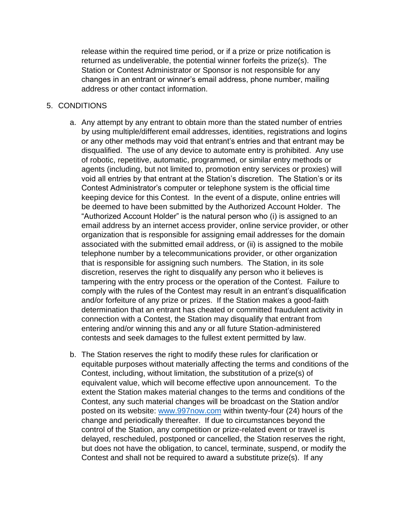release within the required time period, or if a prize or prize notification is returned as undeliverable, the potential winner forfeits the prize(s). The Station or Contest Administrator or Sponsor is not responsible for any changes in an entrant or winner's email address, phone number, mailing address or other contact information.

### 5. CONDITIONS

- a. Any attempt by any entrant to obtain more than the stated number of entries by using multiple/different email addresses, identities, registrations and logins or any other methods may void that entrant's entries and that entrant may be disqualified. The use of any device to automate entry is prohibited. Any use of robotic, repetitive, automatic, programmed, or similar entry methods or agents (including, but not limited to, promotion entry services or proxies) will void all entries by that entrant at the Station's discretion. The Station's or its Contest Administrator's computer or telephone system is the official time keeping device for this Contest. In the event of a dispute, online entries will be deemed to have been submitted by the Authorized Account Holder. The "Authorized Account Holder" is the natural person who (i) is assigned to an email address by an internet access provider, online service provider, or other organization that is responsible for assigning email addresses for the domain associated with the submitted email address, or (ii) is assigned to the mobile telephone number by a telecommunications provider, or other organization that is responsible for assigning such numbers. The Station, in its sole discretion, reserves the right to disqualify any person who it believes is tampering with the entry process or the operation of the Contest. Failure to comply with the rules of the Contest may result in an entrant's disqualification and/or forfeiture of any prize or prizes. If the Station makes a good-faith determination that an entrant has cheated or committed fraudulent activity in connection with a Contest, the Station may disqualify that entrant from entering and/or winning this and any or all future Station-administered contests and seek damages to the fullest extent permitted by law.
- b. The Station reserves the right to modify these rules for clarification or equitable purposes without materially affecting the terms and conditions of the Contest, including, without limitation, the substitution of a prize(s) of equivalent value, which will become effective upon announcement. To the extent the Station makes material changes to the terms and conditions of the Contest, any such material changes will be broadcast on the Station and/or posted on its website: [www.997now.com](https://kfox.com/) [w](https://kfox.com/)ithin twenty-four (24) hours of the change and periodically thereafter. If due to circumstances beyond the control of the Station, any competition or prize-related event or travel is delayed, rescheduled, postponed or cancelled, the Station reserves the right, but does not have the obligation, to cancel, terminate, suspend, or modify the Contest and shall not be required to award a substitute prize(s). If any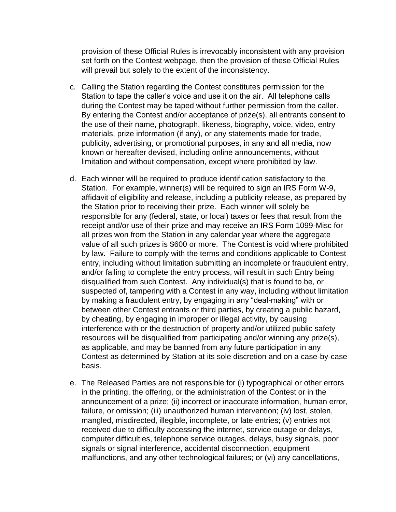provision of these Official Rules is irrevocably inconsistent with any provision set forth on the Contest webpage, then the provision of these Official Rules will prevail but solely to the extent of the inconsistency.

- c. Calling the Station regarding the Contest constitutes permission for the Station to tape the caller's voice and use it on the air. All telephone calls during the Contest may be taped without further permission from the caller. By entering the Contest and/or acceptance of prize(s), all entrants consent to the use of their name, photograph, likeness, biography, voice, video, entry materials, prize information (if any), or any statements made for trade, publicity, advertising, or promotional purposes, in any and all media, now known or hereafter devised, including online announcements, without limitation and without compensation, except where prohibited by law.
- d. Each winner will be required to produce identification satisfactory to the Station. For example, winner(s) will be required to sign an IRS Form W-9, affidavit of eligibility and release, including a publicity release, as prepared by the Station prior to receiving their prize. Each winner will solely be responsible for any (federal, state, or local) taxes or fees that result from the receipt and/or use of their prize and may receive an IRS Form 1099-Misc for all prizes won from the Station in any calendar year where the aggregate value of all such prizes is \$600 or more. The Contest is void where prohibited by law. Failure to comply with the terms and conditions applicable to Contest entry, including without limitation submitting an incomplete or fraudulent entry, and/or failing to complete the entry process, will result in such Entry being disqualified from such Contest. Any individual(s) that is found to be, or suspected of, tampering with a Contest in any way, including without limitation by making a fraudulent entry, by engaging in any "deal-making" with or between other Contest entrants or third parties, by creating a public hazard, by cheating, by engaging in improper or illegal activity, by causing interference with or the destruction of property and/or utilized public safety resources will be disqualified from participating and/or winning any prize(s), as applicable, and may be banned from any future participation in any Contest as determined by Station at its sole discretion and on a case-by-case basis.
- e. The Released Parties are not responsible for (i) typographical or other errors in the printing, the offering, or the administration of the Contest or in the announcement of a prize; (ii) incorrect or inaccurate information, human error, failure, or omission; (iii) unauthorized human intervention; (iv) lost, stolen, mangled, misdirected, illegible, incomplete, or late entries; (v) entries not received due to difficulty accessing the internet, service outage or delays, computer difficulties, telephone service outages, delays, busy signals, poor signals or signal interference, accidental disconnection, equipment malfunctions, and any other technological failures; or (vi) any cancellations,